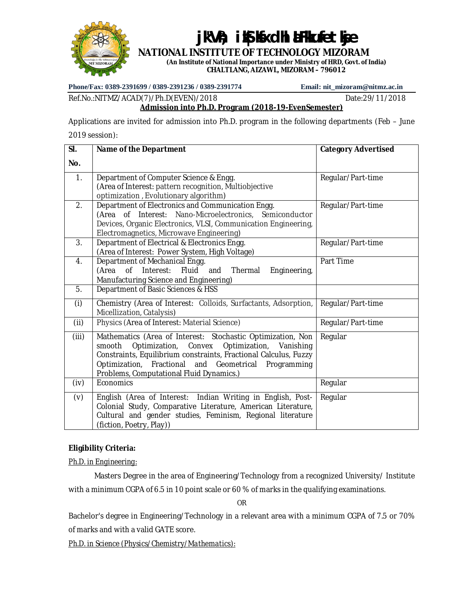

# jk"V", ik**S kxdhl aFkufetkje**

**NATIONAL INSTITUTE OF TECHNOLOGY MIZORAM (An Institute of National Importance under Ministry of HRD, Govt. of India)**

**CHALTLANG, AIZAWL, MIZORAM – 796012**

**Phone/Fax: 0389-2391699 / 0389-2391236 / 0389-2391774 Email: [nit\\_mizoram@nitmz.ac.in](mailto:nit_mizoram@nitmz.ac.in)**

#### Ref.No.:NITMZ/ACAD(7)/Ph.D(EVEN)/2018 Date:29/11/2018 **Admission into Ph.D. Program (2018-19-EvenSemester)**

Applications are invited for admission into Ph.D. program in the following departments (Feb – June 2019 session):

#### **Sl. No. Name of the Department Category Advertised** 1. Department of Computer Science & Engg. (Area of Interest: pattern recognition, Multiobjective optimization , Evolutionary algorithm) Regular/Part-time 2. Department of Electronics and Communication Engg. (Area of Interest: Nano-Microelectronics, Semiconductor Devices, Organic Electronics, VLSI, Communication Engineering, Electromagnetics, Microwave Engineering) Regular/Part-time 3. Department of Electrical & Electronics Engg. (Area of Interest: Power System, High Voltage) Regular/Part-time 4. Department of Mechanical Engg. (Area of Interest: Fluid and Thermal Engineering, Manufacturing Science and Engineering) Part Time 5. Department of Basic Sciences & HSS (i) Chemistry (Area of Interest: Colloids, Surfactants, Adsorption, Micellization, Catalysis) Regular/Part-time (ii) Physics (Area of Interest: Material Science) Regular/Part-time (iii) Mathematics (Area of Interest: Stochastic Optimization, Non smooth Optimization, Convex Optimization, Vanishing Constraints, Equilibrium constraints, Fractional Calculus, Fuzzy Optimization, Fractional and Geometrical Programming Problems, Computational Fluid Dynamics.) Regular (iv) Economics Regular  $(v)$  English (Area of Interest: Indian Writing in English, Post-Colonial Study, Comparative Literature, American Literature, Cultural and gender studies, Feminism, Regional literature (fiction, Poetry, Play)) Regular

## **Eligibility Criteria:**

*Ph.D. in Engineering:*

Masters Degree in the area of Engineering/Technology from a recognized University/ Institute with a minimum CGPA of 6.5 in 10 point scale or 60 % of marks in the qualifying examinations.

OR

Bachelor's degree in Engineering/Technology in a relevant area with a minimum CGPA of 7.5 or 70% of marks and with a valid GATE score.

*Ph.D. in Science (Physics/Chemistry/Mathematics):*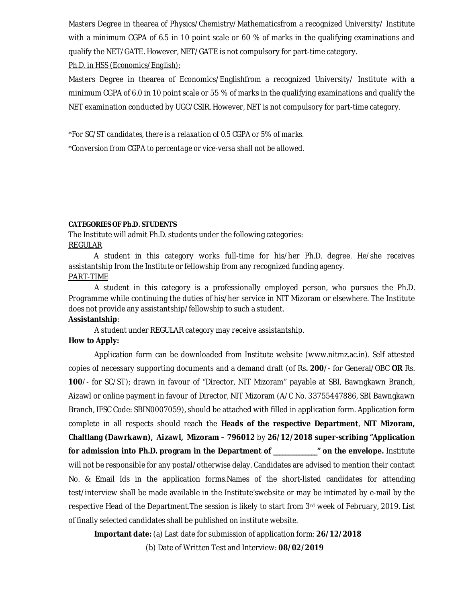Masters Degree in thearea of Physics/Chemistry/Mathematicsfrom a recognized University/ Institute with a minimum CGPA of 6.5 in 10 point scale or 60 % of marks in the qualifying examinations and qualify the NET/GATE. However, NET/GATE is not compulsory for part-time category.

# *Ph.D. in HSS (Economics/English):*

Masters Degree in thearea of Economics/Englishfrom a recognized University/ Institute with a minimum CGPA of 6.0 in 10 point scale or 55 % of marks in the qualifying examinations and qualify the NET examination conducted by UGC/CSIR. However, NET is not compulsory for part-time category.

*\*For SC/ST candidates, there is a relaxation of 0.5 CGPA or 5% of marks. \*Conversion from CGPA to percentage or vice-versa shall not be allowed.*

#### **CATEGORIES OF Ph.D. STUDENTS**

The Institute will admit Ph.D. students under the following categories: REGULAR

A student in this category works full-time for his/her Ph.D. degree. He/she receives assistantship from the Institute or fellowship from any recognized funding agency. PART-TIME

A student in this category is a professionally employed person, who pursues the Ph.D. Programme while continuing the duties of his/her service in NIT Mizoram or elsewhere. The Institute does not provide any assistantship/fellowship to such a student.

#### **Assistantship**:

A student under REGULAR category may receive assistantship.

## **How to Apply:**

Application form can be downloaded from Institute website [\(www.nitmz.ac.in\).](http://www.nitmz.ac.in).) Self attested copies of necessary supporting documents and a demand draft (of Rs**. 200**/- for General/OBC **OR** Rs. **100**/- for SC/ST); drawn in favour of "Director, NIT Mizoram" payable at SBI, Bawngkawn Branch, Aizawl or online payment in favour of Director, NIT Mizoram (A/C No. 33755447886, SBI Bawngkawn Branch, IFSC Code: SBIN0007059), should be attached with filled in application form. Application form complete in all respects should reach the **Heads of the respective Department**, **NIT Mizoram, Chaltlang (Dawrkawn), Aizawl, Mizoram – 796012** by **26/12/2018 super-scribing "Application for admission into Ph.D. program in the Department of \_\_\_\_\_\_\_\_\_\_\_\_\_\_\_" on the envelope.** Institute will not be responsible for any postal/otherwise delay. Candidates are advised to mention their contact No. & Email Ids in the application forms.Names of the short-listed candidates for attending test/interview shall be made available in the Institute'swebsite or may be intimated by e-mail by the respective Head of the Department. The session is likely to start from 3<sup>rd</sup> week of February, 2019. List of finally selected candidates shall be published on institute website.

**Important date:** (a) Last date for submission of application form: **26/12/2018**

(b) Date of Written Test and Interview: **08/02/2019**